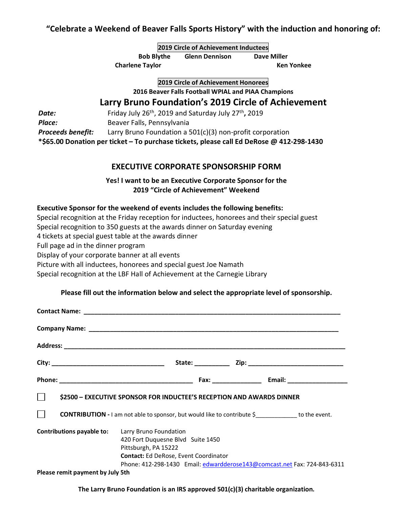# **"Celebrate a Weekend of Beaver Falls Sports History" with the induction and honoring of:**

|                   | 2019 Circle of Achievement Inductees |                       |             |
|-------------------|--------------------------------------|-----------------------|-------------|
| <b>Bob Blythe</b> |                                      | <b>Glenn Dennison</b> | Dave Miller |

**Charlene Taylor Ken Yonkee**

**2019 Circle of Achievement Honorees**

**2016 Beaver Falls Football WPIAL and PIAA Champions**

## **Larry Bruno Foundation's 2019 Circle of Achievement**

**Date:** Friday July 26<sup>th</sup>, 2019 and Saturday July 27<sup>th</sup>, 2019 Place: **Beaver Falls, Pennsylvania** *Proceeds benefit:* Larry Bruno Foundation a 501(c)(3) non-profit corporation **\*\$65.00 Donation per ticket – To purchase tickets, please call Ed DeRose @ 412-298-1430**

## **EXECUTIVE CORPORATE SPONSORSHIP FORM**

**Yes! I want to be an Executive Corporate Sponsor for the 2019 "Circle of Achievement" Weekend**

#### **Executive Sponsor for the weekend of events includes the following benefits:**

Special recognition at the Friday reception for inductees, honorees and their special guest

Special recognition to 350 guests at the awards dinner on Saturday evening

4 tickets at special guest table at the awards dinner

Full page ad in the dinner program

Display of your corporate banner at all events

Picture with all inductees, honorees and special guest Joe Namath

Special recognition at the LBF Hall of Achievement at the Carnegie Library

#### **Please fill out the information below and select the appropriate level of sponsorship.**

|                                                         | S2500 - EXECUTIVE SPONSOR FOR INDUCTEE'S RECEPTION AND AWARDS DINNER                                                                                                                  |
|---------------------------------------------------------|---------------------------------------------------------------------------------------------------------------------------------------------------------------------------------------|
| $\mathbf{L}$                                            | <b>CONTRIBUTION</b> - I am not able to sponsor, but would like to contribute $\oint$ to the event.                                                                                    |
| <b>Contributions payable to:</b> Larry Bruno Foundation | 420 Fort Duquesne Blvd Suite 1450<br>Pittsburgh, PA 15222<br><b>Contact:</b> Ed DeRose, Event Coordinator<br>Phone: 412-298-1430 Email: edwardderose143@comcast.net Fax: 724-843-6311 |
| Please remit payment by July 5th                        |                                                                                                                                                                                       |

**The Larry Bruno Foundation is an IRS approved 501(c)(3) charitable organization.**